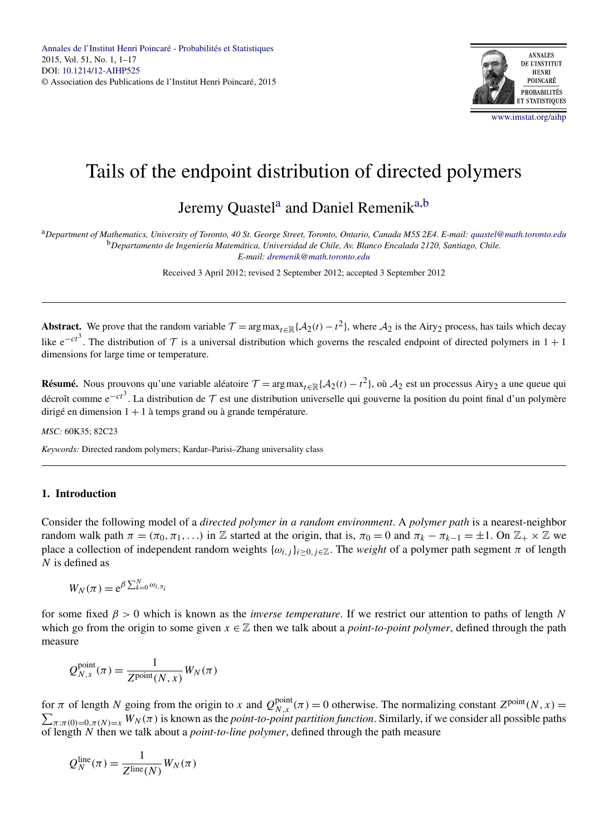

# Tails of the endpoint distribution of directed polymers

## Jeremy Ouastel<sup>a</sup> and Daniel Remenik<sup>a,b</sup>

<sup>a</sup>*Department of Mathematics, University of Toronto, 40 St. George Street, Toronto, Ontario, Canada M5S 2E4. E-mail: [quastel@math.toronto.edu](mailto:quastel@math.toronto.edu)* <sup>b</sup>*Departamento de Ingeniería Matemática, Universidad de Chile, Av. Blanco Encalada 2120, Santiago, Chile.*

*E-mail: [dremenik@math.toronto.edu](mailto:dremenik@math.toronto.edu)*

Received 3 April 2012; revised 2 September 2012; accepted 3 September 2012

**Abstract.** We prove that the random variable  $\mathcal{T} = \arg \max_{t \in \mathbb{R}} \{A_2(t) - t^2\}$ , where  $A_2$  is the Airy<sub>2</sub> process, has tails which decay like  $e^{-ct^3}$ . The distribution of  $\mathcal T$  is a universal distribution which governs the rescaled endpoint of directed polymers in 1 + 1 dimensions for large time or temperature.

**Résumé.** Nous prouvons qu'une variable aléatoire  $\mathcal{T} = \arg \max_{t \in \mathbb{R}} \{A_2(t) - t^2\}$ , où  $A_2$  est un processus Airy<sub>2</sub> a une queue qui décroît comme e<sup>−*ct*3</sup>. La distribution de  $T$  est une distribution universelle qui gouverne la position du point final d'un polymère dirigé en dimension  $1 + 1$  à temps grand ou à grande température.

*MSC:* 60K35; 82C23

*Keywords:* Directed random polymers; Kardar–Parisi–Zhang universality class

#### **1. Introduction**

Consider the following model of a *directed polymer in a random environment*. A *polymer path* is a nearest-neighbor random walk path  $\pi = (\pi_0, \pi_1, \ldots)$  in Z started at the origin, that is,  $\pi_0 = 0$  and  $\pi_k - \pi_{k-1} = \pm 1$ . On  $\mathbb{Z}_+ \times \mathbb{Z}$  we place a collection of independent random weights  $\{\omega_{i,j}\}_{i>0, j\in\mathbb{Z}}$ . The *weight* of a polymer path segment  $\pi$  of length *N* is defined as

$$
W_N(\pi) = e^{\beta \sum_{k=0}^N \omega_{i,\pi_i}}
$$

for some fixed *β >* 0 which is known as the *inverse temperature*. If we restrict our attention to paths of length *N* which go from the origin to some given  $x \in \mathbb{Z}$  then we talk about a *point-to-point polymer*, defined through the path measure

$$
Q_{N,x}^{\text{point}}(\pi) = \frac{1}{Z^{\text{point}}(N,x)} W_N(\pi)
$$

for *π* of length *N* going from the origin to *x* and  $Q_{N,x}^{point}(\pi) = 0$  otherwise. The normalizing constant  $Z^{point}(N, x) = \sum_{n=0}^{\infty} N_{N}(\pi)$  is known as the *point-to-point partition function*. Similarly, if we consider all  $\pi:\pi(0)=0,\pi(N)=x$   $W_N(\pi)$  is known as the *point-to-point partition function*. Similarly, if we consider all possible paths of length *N* then we talk about a *point-to-line polymer*, defined through the path measure

$$
Q_N^{\text{line}}(\pi) = \frac{1}{Z^{\text{line}}(N)} W_N(\pi)
$$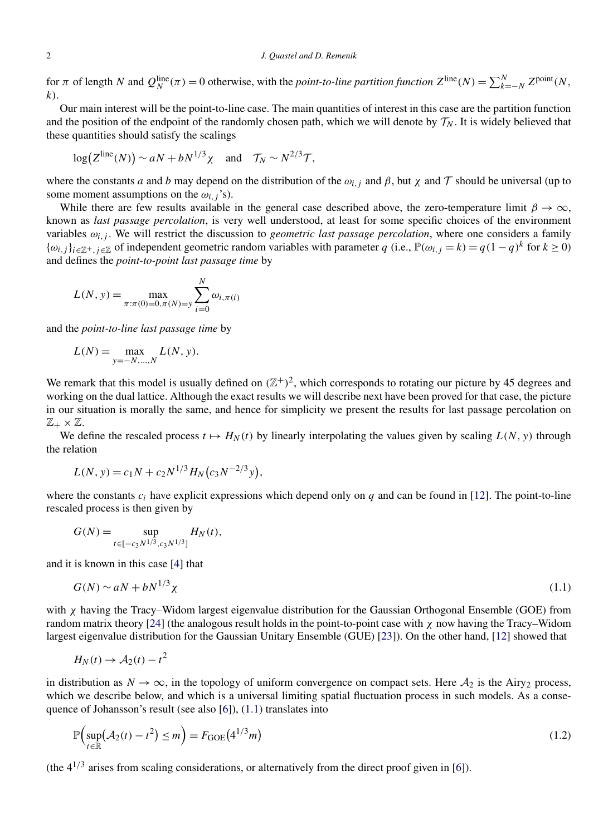<span id="page-1-0"></span>for  $\pi$  of length *N* and  $Q_N^{\text{line}}(\pi) = 0$  otherwise, with the *point-to-line partition function*  $Z^{\text{line}}(N) = \sum_{k=-N}^{N} Z^{\text{point}}(N, k)$ *k)*.

Our main interest will be the point-to-line case. The main quantities of interest in this case are the partition function and the position of the endpoint of the randomly chosen path, which we will denote by  $\mathcal{T}_N$ . It is widely believed that these quantities should satisfy the scalings

$$
log(Z^{line}(N)) \sim aN + bN^{1/3}\chi
$$
 and  $\mathcal{T}_N \sim N^{2/3}\mathcal{T}$ ,

where the constants *a* and *b* may depend on the distribution of the  $\omega_{i,j}$  and  $\beta$ , but  $\chi$  and  $\tau$  should be universal (up to some moment assumptions on the  $\omega_{i,j}$ 's).

While there are few results available in the general case described above, the zero-temperature limit  $\beta \to \infty$ , known as *last passage percolation*, is very well understood, at least for some specific choices of the environment variables *ωi,j* . We will restrict the discussion to *geometric last passage percolation*, where one considers a family  ${\omega_{i,j}}_{i \in \mathbb{Z}^+, j \in \mathbb{Z}}$  of independent geometric random variables with parameter *q* (i.e.,  $\mathbb{P}(\omega_{i,j} = k) = q(1 - q)^k$  for  $k ≥ 0$ ) and defines the *point-to-point last passage time* by

$$
L(N, y) = \max_{\pi: \pi(0) = 0, \pi(N) = y} \sum_{i=0}^{N} \omega_{i, \pi(i)}
$$

and the *point-to-line last passage time* by

$$
L(N) = \max_{y = -N, ..., N} L(N, y).
$$

We remark that this model is usually defined on  $(\mathbb{Z}^+)^2$ , which corresponds to rotating our picture by 45 degrees and working on the dual lattice. Although the exact results we will describe next have been proved for that case, the picture in our situation is morally the same, and hence for simplicity we present the results for last passage percolation on  $\mathbb{Z}_+\times \mathbb{Z}$ .

We define the rescaled process  $t \mapsto H_N(t)$  by linearly interpolating the values given by scaling  $L(N, y)$  through the relation

$$
L(N, y) = c_1 N + c_2 N^{1/3} H_N(c_3 N^{-2/3} y),
$$

where the constants  $c_i$  have explicit expressions which depend only on  $q$  and can be found in [\[12\]](#page-16-0). The point-to-line rescaled process is then given by

$$
G(N) = \sup_{t \in [-c_3 N^{1/3}, c_3 N^{1/3}]} H_N(t),
$$

and it is known in this case [\[4\]](#page-16-0) that

$$
G(N) \sim aN + bN^{1/3}\chi \tag{1.1}
$$

with *χ* having the Tracy–Widom largest eigenvalue distribution for the Gaussian Orthogonal Ensemble (GOE) from random matrix theory [\[24\]](#page-16-0) (the analogous result holds in the point-to-point case with *χ* now having the Tracy–Widom largest eigenvalue distribution for the Gaussian Unitary Ensemble (GUE) [\[23\]](#page-16-0)). On the other hand, [\[12\]](#page-16-0) showed that

$$
H_N(t) \to \mathcal{A}_2(t) - t^2
$$

in distribution as  $N \to \infty$ , in the topology of uniform convergence on compact sets. Here  $A_2$  is the Airy<sub>2</sub> process, which we describe below, and which is a universal limiting spatial fluctuation process in such models. As a consequence of Johansson's result (see also [\[6\]](#page-16-0)), (1.1) translates into

$$
\mathbb{P}\left(\sup_{t\in\mathbb{R}}\left(\mathcal{A}_2(t)-t^2\right)\leq m\right)=F_{\text{GOE}}\left(4^{1/3}m\right)
$$
\n(1.2)

(the  $4^{1/3}$  arises from scaling considerations, or alternatively from the direct proof given in [\[6\]](#page-16-0)).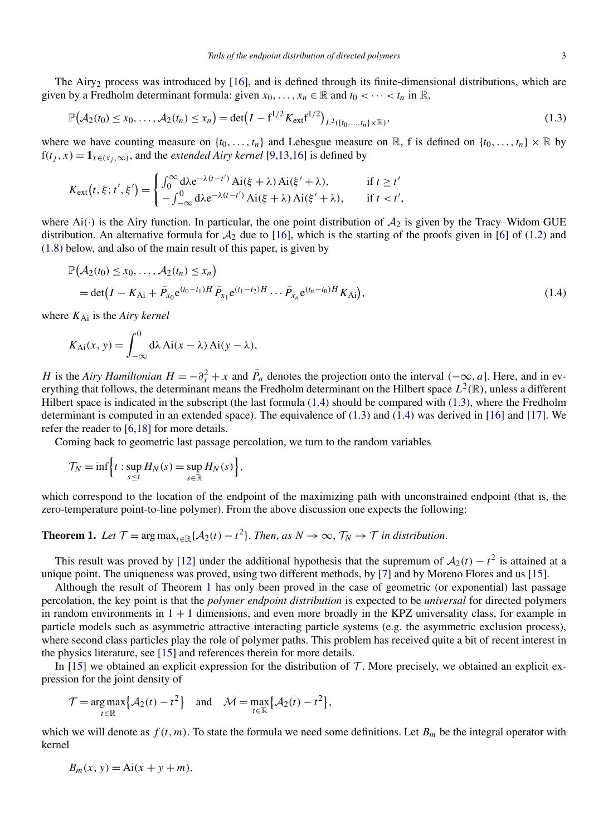<span id="page-2-0"></span>The Airy<sub>2</sub> process was introduced by [\[16\]](#page-16-0), and is defined through its finite-dimensional distributions, which are given by a Fredholm determinant formula: given  $x_0, \ldots, x_n \in \mathbb{R}$  and  $t_0 < \cdots < t_n$  in  $\mathbb{R}$ ,

$$
\mathbb{P}(\mathcal{A}_2(t_0) \le x_0, \dots, \mathcal{A}_2(t_n) \le x_n) = \det(I - f^{1/2} K_{\text{ext}} f^{1/2})_{L^2(\{t_0, \dots, t_n\} \times \mathbb{R})},\tag{1.3}
$$

where we have counting measure on  $\{t_0, \ldots, t_n\}$  and Lebesgue measure on  $\mathbb{R}$ , f is defined on  $\{t_0, \ldots, t_n\} \times \mathbb{R}$  by  $f(t_j, x) = \mathbf{1}_{x \in (x_i, \infty)}$ , and the *extended Airy kernel* [\[9,13,16\]](#page-16-0) is defined by

$$
K_{\text{ext}}(t,\xi;t',\xi') = \begin{cases} \int_0^\infty d\lambda e^{-\lambda(t-t')} \operatorname{Ai}(\xi+\lambda) \operatorname{Ai}(\xi'+\lambda), & \text{if } t \ge t'\\ -\int_{-\infty}^0 d\lambda e^{-\lambda(t-t')} \operatorname{Ai}(\xi+\lambda) \operatorname{Ai}(\xi'+\lambda), & \text{if } t < t', \end{cases}
$$

where  $Ai(\cdot)$  is the Airy function. In particular, the one point distribution of  $A_2$  is given by the Tracy–Widom GUE distribution. An alternative formula for  $A_2$  due to [\[16\]](#page-16-0), which is the starting of the proofs given in [\[6\]](#page-16-0) of [\(1.2\)](#page-1-0) and [\(1.8\)](#page-4-0) below, and also of the main result of this paper, is given by

$$
\mathbb{P}(A_2(t_0) \le x_0, ..., A_2(t_n) \le x_n)
$$
  
= det $(I - K_{\text{Ai}} + \bar{P}_{x_0}e^{(t_0 - t_1)H}\bar{P}_{x_1}e^{(t_1 - t_2)H} ... \bar{P}_{x_n}e^{(t_n - t_0)H}K_{\text{Ai}}),$  (1.4)

where  $K_{\text{Ai}}$  is the *Airy kernel* 

$$
K_{\mathrm{Ai}}(x, y) = \int_{-\infty}^{0} d\lambda \, \mathrm{Ai}(x - \lambda) \, \mathrm{Ai}(y - \lambda),
$$

*H* is the *Airy Hamiltonian*  $H = -\partial_x^2 + x$  and  $\bar{P}_a$  denotes the projection onto the interval  $(-\infty, a]$ . Here, and in everything that follows, the determinant means the Fredholm determinant on the Hilbert space  $L^2(\mathbb{R})$ , unless a different Hilbert space is indicated in the subscript (the last formula (1.4) should be compared with (1.3), where the Fredholm determinant is computed in an extended space). The equivalence of (1.3) and (1.4) was derived in [\[16\]](#page-16-0) and [\[17\]](#page-16-0). We refer the reader to [\[6,18\]](#page-16-0) for more details.

Coming back to geometric last passage percolation, we turn to the random variables

$$
\mathcal{T}_N = \inf \Bigl\{ t : \sup_{s \le t} H_N(s) = \sup_{s \in \mathbb{R}} H_N(s) \Bigr\},\,
$$

which correspond to the location of the endpoint of the maximizing path with unconstrained endpoint (that is, the zero-temperature point-to-line polymer). From the above discussion one expects the following:

### **Theorem 1.** *Let*  $\mathcal{T} = \arg \max_{t \in \mathbb{R}} \{A_2(t) - t^2\}$ . *Then, as*  $N \to \infty$ ,  $\mathcal{T}_N \to \mathcal{T}$  *in distribution.*

This result was proved by [\[12\]](#page-16-0) under the additional hypothesis that the supremum of  $A_2(t) - t^2$  is attained at a unique point. The uniqueness was proved, using two different methods, by [\[7\]](#page-16-0) and by Moreno Flores and us [\[15\]](#page-16-0).

Although the result of Theorem 1 has only been proved in the case of geometric (or exponential) last passage percolation, the key point is that the *polymer endpoint distribution* is expected to be *universal* for directed polymers in random environments in  $1 + 1$  dimensions, and even more broadly in the KPZ universality class, for example in particle models such as asymmetric attractive interacting particle systems (e.g. the asymmetric exclusion process), where second class particles play the role of polymer paths. This problem has received quite a bit of recent interest in the physics literature, see [\[15\]](#page-16-0) and references therein for more details.

In [\[15\]](#page-16-0) we obtained an explicit expression for the distribution of  $\mathcal T$ . More precisely, we obtained an explicit expression for the joint density of

$$
\mathcal{T} = \underset{t \in \mathbb{R}}{\arg \max} \Big\{ \mathcal{A}_2(t) - t^2 \Big\} \quad \text{and} \quad \mathcal{M} = \underset{t \in \mathbb{R}}{\max} \Big\{ \mathcal{A}_2(t) - t^2 \Big\},
$$

which we will denote as  $f(t, m)$ . To state the formula we need some definitions. Let  $B_m$  be the integral operator with kernel

$$
B_m(x, y) = \text{Ai}(x + y + m).
$$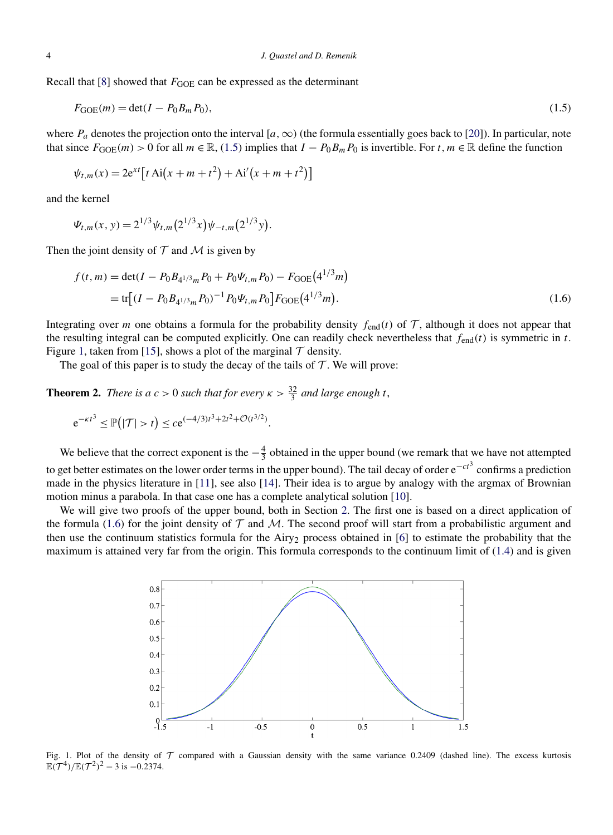<span id="page-3-0"></span>Recall that [\[8\]](#page-16-0) showed that *F*<sub>GOE</sub> can be expressed as the determinant

$$
F_{GOE}(m) = \det(I - P_0 B_m P_0),\tag{1.5}
$$

where  $P_a$  denotes the projection onto the interval  $[a, \infty)$  (the formula essentially goes back to [\[20\]](#page-16-0)). In particular, note that since  $F_{GOE}(m) > 0$  for all  $m \in \mathbb{R}$ , (1.5) implies that  $I - P_0 B_m P_0$  is invertible. For  $t, m \in \mathbb{R}$  define the function

$$
\psi_{t,m}(x) = 2e^{xt} \left[ t \text{ Ai}(x + m + t^2) + \text{Ai}'(x + m + t^2) \right]
$$

and the kernel

$$
\Psi_{t,m}(x, y) = 2^{1/3} \psi_{t,m}(2^{1/3} x) \psi_{-t,m}(2^{1/3} y).
$$

Then the joint density of  $T$  and  $M$  is given by

$$
f(t,m) = \det(I - P_0 B_{4^{1/3}m} P_0 + P_0 \Psi_{t,m} P_0) - F_{\text{GOE}}(4^{1/3}m)
$$
  
= tr[(I - P\_0 B\_{4^{1/3}m} P\_0)^{-1} P\_0 \Psi\_{t,m} P\_0] F\_{\text{GOE}}(4^{1/3}m). (1.6)

Integrating over *m* one obtains a formula for the probability density  $f_{\text{end}}(t)$  of  $\mathcal{T}$ , although it does not appear that the resulting integral can be computed explicitly. One can readily check nevertheless that  $f_{\text{end}}(t)$  is symmetric in *t*. Figure 1, taken from [\[15\]](#page-16-0), shows a plot of the marginal  $\mathcal T$  density.

The goal of this paper is to study the decay of the tails of  $T$ . We will prove:

**Theorem 2.** *There is a*  $c > 0$  *such that for every*  $\kappa > \frac{32}{3}$  *and large enough t*,

$$
e^{-\kappa t^3} \le \mathbb{P}(|\mathcal{T}| > t) \le c e^{(-4/3)t^3 + 2t^2 + \mathcal{O}(t^{3/2})}.
$$

We believe that the correct exponent is the  $-\frac{4}{3}$  obtained in the upper bound (we remark that we have not attempted to get better estimates on the lower order terms in the upper bound). The tail decay of order e−*ct*<sup>3</sup> confirms a prediction made in the physics literature in [\[11\]](#page-16-0), see also [\[14\]](#page-16-0). Their idea is to argue by analogy with the argmax of Brownian motion minus a parabola. In that case one has a complete analytical solution [\[10\]](#page-16-0).

We will give two proofs of the upper bound, both in Section [2.](#page-4-0) The first one is based on a direct application of the formula (1.6) for the joint density of  $T$  and M. The second proof will start from a probabilistic argument and then use the continuum statistics formula for the Airy<sub>2</sub> process obtained in [\[6\]](#page-16-0) to estimate the probability that the maximum is attained very far from the origin. This formula corresponds to the continuum limit of [\(1.4\)](#page-2-0) and is given



Fig. 1. Plot of the density of  $T$  compared with a Gaussian density with the same variance 0.2409 (dashed line). The excess kurtosis  $\mathbb{E}(\mathcal{T}^4)/\mathbb{E}(\mathcal{T}^2)^2 - 3$  is  $-0.2374$ .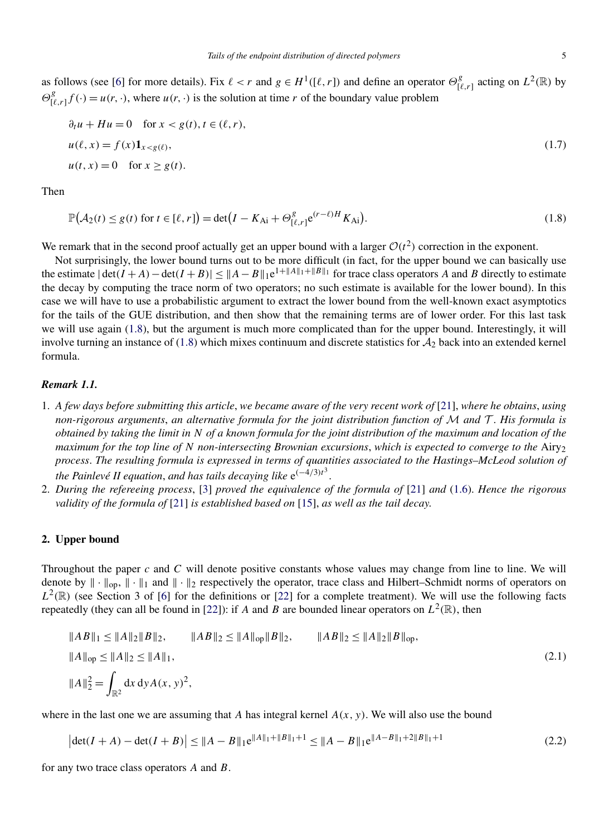<span id="page-4-0"></span>
$$
\partial_t u + Hu = 0 \quad \text{for } x < g(t), t \in (\ell, r),
$$
\n
$$
u(\ell, x) = f(x) \mathbf{1}_{x < g(\ell)},
$$
\n
$$
u(t, x) = 0 \quad \text{for } x \ge g(t).
$$
\n
$$
(1.7)
$$

Then

$$
\mathbb{P}(\mathcal{A}_2(t) \le g(t) \text{ for } t \in [\ell, r]) = \det(I - K_{\text{Ai}} + \Theta_{[\ell, r]}^g e^{(r-\ell)H} K_{\text{Ai}}). \tag{1.8}
$$

We remark that in the second proof actually get an upper bound with a larger  $O(t^2)$  correction in the exponent.

Not surprisingly, the lower bound turns out to be more difficult (in fact, for the upper bound we can basically use the estimate  $|\det(I+A) - \det(I+B)| \leq \|A-B\|_1 e^{1 + \|A\|_1 + \|B\|_1}$  for trace class operators *A* and *B* directly to estimate the decay by computing the trace norm of two operators; no such estimate is available for the lower bound). In this case we will have to use a probabilistic argument to extract the lower bound from the well-known exact asymptotics for the tails of the GUE distribution, and then show that the remaining terms are of lower order. For this last task we will use again (1.8), but the argument is much more complicated than for the upper bound. Interestingly, it will involve turning an instance of  $(1.8)$  which mixes continuum and discrete statistics for  $\mathcal{A}_2$  back into an extended kernel formula.

#### *Remark 1.1.*

- 1. *A few days before submitting this article*, *we became aware of the very recent work of* [\[21\]](#page-16-0), *where he obtains*, *using non-rigorous arguments*, *an alternative formula for the joint distribution function of* M *and* T . *His formula is obtained by taking the limit in N of a known formula for the joint distribution of the maximum and location of the maximum for the top line of N non-intersecting Brownian excursions*, *which is expected to converge to the* Airy2 *process*. *The resulting formula is expressed in terms of quantities associated to the Hastings–McLeod solution of the Painlevé II equation*, *and has tails decaying like* e*(*−4*/*3*)t*<sup>3</sup> .
- 2. *During the refereeing process*, [\[3\]](#page-16-0) *proved the equivalence of the formula of* [\[21\]](#page-16-0) *and* [\(1.6\)](#page-3-0). *Hence the rigorous validity of the formula of* [\[21\]](#page-16-0) *is established based on* [\[15\]](#page-16-0), *as well as the tail decay*.

#### **2. Upper bound**

Throughout the paper *c* and *C* will denote positive constants whose values may change from line to line. We will denote by  $\|\cdot\|_{op}$ ,  $\|\cdot\|_1$  and  $\|\cdot\|_2$  respectively the operator, trace class and Hilbert–Schmidt norms of operators on  $L^2(\mathbb{R})$  (see Section 3 of [\[6\]](#page-16-0) for the definitions or [\[22\]](#page-16-0) for a complete treatment). We will use the following facts repeatedly (they can all be found in [\[22\]](#page-16-0)): if *A* and *B* are bounded linear operators on  $L^2(\mathbb{R})$ , then

$$
||AB||_1 \le ||A||_2 ||B||_2, \qquad ||AB||_2 \le ||A||_{op} ||B||_2, \qquad ||AB||_2 \le ||A||_2 ||B||_{op},
$$
  

$$
||A||_{op} \le ||A||_2 \le ||A||_1,
$$
  

$$
||A||_2^2 = \int_{\mathbb{R}^2} dx dy A(x, y)^2,
$$
 (2.1)

where in the last one we are assuming that *A* has integral kernel *A(x, y)*. We will also use the bound

$$
\left|\det(I+A) - \det(I+B)\right| \le \|A-B\|_1 e^{\|A\|_1 + \|B\|_1 + 1} \le \|A-B\|_1 e^{\|A-B\|_1 + 2\|B\|_1 + 1} \tag{2.2}
$$

for any two trace class operators *A* and *B*.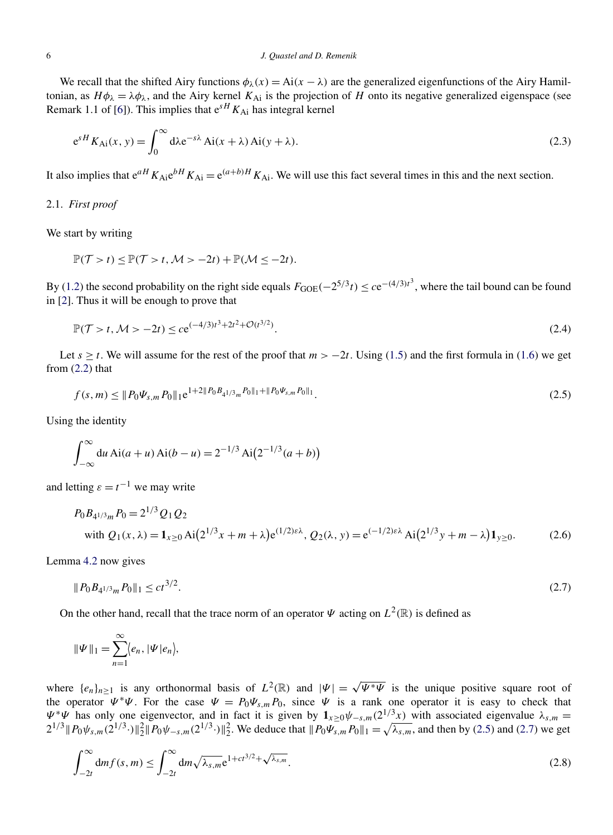<span id="page-5-0"></span>We recall that the shifted Airy functions  $\phi_{\lambda}(x) = Ai(x - \lambda)$  are the generalized eigenfunctions of the Airy Hamiltonian, as  $H\phi_{\lambda} = \lambda \phi_{\lambda}$ , and the Airy kernel  $K_{\text{Ai}}$  is the projection of *H* onto its negative generalized eigenspace (see Remark 1.1 of [\[6\]](#page-16-0)). This implies that  $e^{sH}K_{Ai}$  has integral kernel

$$
e^{sH} K_{Ai}(x, y) = \int_0^\infty d\lambda e^{-s\lambda} Ai(x + \lambda) Ai(y + \lambda).
$$
 (2.3)

It also implies that  $e^{aH}K_{Ai}e^{bH}K_{Ai} = e^{(a+b)H}K_{Ai}$ . We will use this fact several times in this and the next section.

#### 2.1. *First proof*

We start by writing

$$
\mathbb{P}(\mathcal{T} > t) \leq \mathbb{P}(\mathcal{T} > t, \mathcal{M} > -2t) + \mathbb{P}(\mathcal{M} \leq -2t).
$$

By [\(1.2\)](#page-1-0) the second probability on the right side equals  $F_{GOE}(-2^{5/3}t) \leq ce^{-(4/3)t^3}$ , where the tail bound can be found in [\[2\]](#page-16-0). Thus it will be enough to prove that

$$
\mathbb{P}(\mathcal{T} > t, \mathcal{M} > -2t) \le c e^{(-4/3)t^3 + 2t^2 + \mathcal{O}(t^{3/2})}.
$$
\n(2.4)

Let  $s \geq t$ . We will assume for the rest of the proof that  $m > -2t$ . Using [\(1.5\)](#page-3-0) and the first formula in [\(1.6\)](#page-3-0) we get from  $(2.2)$  that

$$
f(s,m) \leq \|P_0 \Psi_{s,m} P_0\|_1 e^{1+2\|P_0 B_{4^{1/3}m} P_0\|_1 + \|P_0 \Psi_{s,m} P_0\|_1}.
$$
\n(2.5)

Using the identity

$$
\int_{-\infty}^{\infty} du A i(a+u) A i(b-u) = 2^{-1/3} A i (2^{-1/3} (a+b))
$$

and letting  $\varepsilon = t^{-1}$  we may write

$$
P_0 B_{4^{1/3}m} P_0 = 2^{1/3} Q_1 Q_2
$$
  
with  $Q_1(x, \lambda) = \mathbf{1}_{x \ge 0} \text{Ai}(2^{1/3}x + m + \lambda)e^{(1/2)\varepsilon\lambda}$ ,  $Q_2(\lambda, y) = e^{(-1/2)\varepsilon\lambda} \text{Ai}(2^{1/3}y + m - \lambda)\mathbf{1}_{y \ge 0}$ . (2.6)

Lemma [4.2](#page-12-0) now gives

$$
||P_0B_{4^{1/3}m}P_0||_1 \le ct^{3/2}.\tag{2.7}
$$

On the other hand, recall that the trace norm of an operator  $\Psi$  acting on  $L^2(\mathbb{R})$  is defined as

$$
\|\Psi\|_1=\sum_{n=1}^\infty \langle e_n, |\Psi|e_n\rangle,
$$

where  $\{e_n\}_{n\geq 1}$  is any orthonormal basis of  $L^2(\mathbb{R})$  and  $|\Psi| = \sqrt{\Psi^* \Psi}$  is the unique positive square root of the operator  $\Psi^* \Psi$ . For the case  $\Psi = P_0 \Psi_{s,m} P_0$ , since  $\Psi$  is a rank one operator it is easy to check that  $\Psi^* \Psi$  has only one eigenvector, and in fact it is given by  $\mathbf{1}_{x\geq 0}\psi_{-s,m}(2^{1/3}x)$  with associated eigenvalue  $\lambda_{s,m}$  $2^{1/3} \|P_0 \psi_{s,m}(2^{1/3} \cdot) \|_2^2 \|P_0 \psi_{-s,m}(2^{1/3} \cdot) \|_2^2$ . We deduce that  $\|P_0 \psi_{s,m}(2^{1/3} \cdot) \|_1^2 = \sqrt{\lambda_{s,m}}$ , and then by (2.5) and (2.7) we get

$$
\int_{-2t}^{\infty} dm f(s, m) \le \int_{-2t}^{\infty} dm \sqrt{\lambda_{s,m}} e^{1 + ct^{3/2} + \sqrt{\lambda_{s,m}}}.
$$
\n(2.8)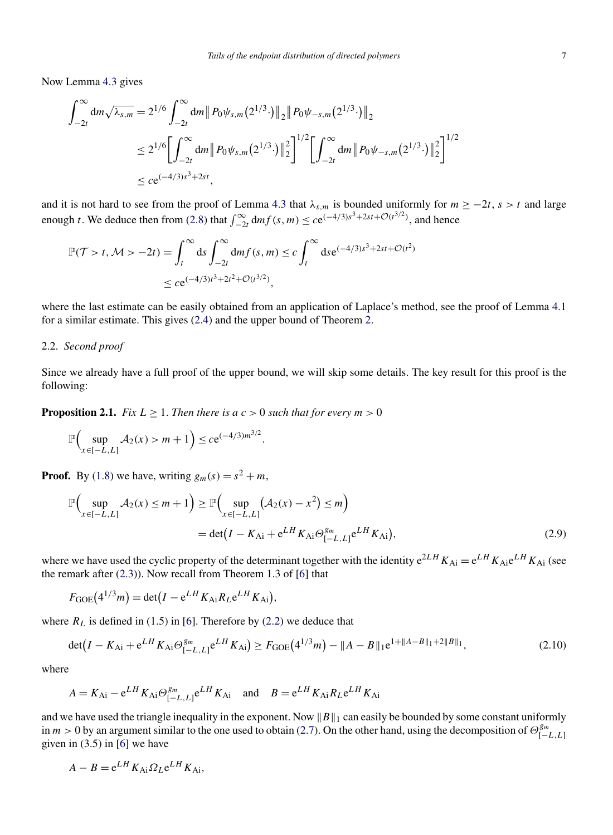<span id="page-6-0"></span>Now Lemma [4.3](#page-13-0) gives

$$
\int_{-2t}^{\infty} dm \sqrt{\lambda_{s,m}} = 2^{1/6} \int_{-2t}^{\infty} dm \| P_0 \psi_{s,m} (2^{1/3} \cdot) \|_2 \| P_0 \psi_{-s,m} (2^{1/3} \cdot) \|_2
$$
  
\n
$$
\leq 2^{1/6} \Biggl[ \int_{-2t}^{\infty} dm \| P_0 \psi_{s,m} (2^{1/3} \cdot) \|_2^2 \Biggr]^{1/2} \Biggl[ \int_{-2t}^{\infty} dm \| P_0 \psi_{-s,m} (2^{1/3} \cdot) \|_2^2 \Biggr]^{1/2}
$$
  
\n
$$
\leq c e^{(-4/3)s^3 + 2st},
$$

and it is not hard to see from the proof of Lemma [4.3](#page-13-0) that  $\lambda_{s,m}$  is bounded uniformly for  $m \ge -2t$ ,  $s > t$  and large enough *t*. We deduce then from [\(2.8\)](#page-5-0) that  $\int_{-2t}^{\infty} dm f(s, m) \leq c e^{(-4/3)s^3 + 2st + \mathcal{O}(t^{3/2})}$ , and hence

$$
\mathbb{P}(\mathcal{T} > t, \mathcal{M} > -2t) = \int_{t}^{\infty} ds \int_{-2t}^{\infty} dm f(s, m) \le c \int_{t}^{\infty} ds e^{(-4/3)s^{3} + 2st + \mathcal{O}(t^{2})}
$$
  

$$
\le c e^{(-4/3)t^{3} + 2t^{2} + \mathcal{O}(t^{3/2})},
$$

where the last estimate can be easily obtained from an application of Laplace's method, see the proof of Lemma [4.1](#page-12-0) for a similar estimate. This gives [\(2.4\)](#page-5-0) and the upper bound of Theorem [2.](#page-3-0)

#### 2.2. *Second proof*

Since we already have a full proof of the upper bound, we will skip some details. The key result for this proof is the following:

*.*

**Proposition 2.1.** *Fix*  $L \geq 1$ *. Then there is a*  $c > 0$  *such that for every*  $m > 0$ 

$$
\mathbb{P}\Big(\sup_{x \in [-L,L]} \mathcal{A}_2(x) > m+1\Big) \le c e^{(-4/3)m^{3/2}}
$$

**Proof.** By [\(1.8\)](#page-4-0) we have, writing  $g_m(s) = s^2 + m$ ,

$$
\mathbb{P}\Big(\sup_{x \in [-L,L]} \mathcal{A}_2(x) \le m + 1\Big) \ge \mathbb{P}\Big(\sup_{x \in [-L,L]} (\mathcal{A}_2(x) - x^2) \le m\Big) \n= \det(I - K_{Ai} + e^{LH} K_{Ai} \Theta_{[-L,L]}^{g_m} e^{LH} K_{Ai}),
$$
\n(2.9)

where we have used the cyclic property of the determinant together with the identity  $e^{2LH}K_{Ai} = e^{LH}K_{Ai}e^{LH}K_{Ai}$  (see the remark after [\(2.3\)](#page-5-0)). Now recall from Theorem 1.3 of [\[6\]](#page-16-0) that

$$
F_{\text{GOE}}(4^{1/3}m) = \det(I - e^{LH} K_{\text{Ai}} R_L e^{LH} K_{\text{Ai}}),
$$

where  $R_L$  is defined in (1.5) in [\[6\]](#page-16-0). Therefore by [\(2.2\)](#page-4-0) we deduce that

$$
\det(I - K_{\text{Ai}} + e^{LH} K_{\text{Ai}} \Theta_{[-L,L]}^{g_m} e^{LH} K_{\text{Ai}}) \ge F_{\text{GOE}}(4^{1/3} m) - ||A - B||_1 e^{1 + ||A - B||_1 + 2||B||_1},\tag{2.10}
$$

where

$$
A = K_{\text{Ai}} - e^{LH} K_{\text{Ai}} \Theta_{[-L,L]}^{\beta m} e^{LH} K_{\text{Ai}} \quad \text{and} \quad B = e^{LH} K_{\text{Ai}} R_L e^{LH} K_{\text{Ai}}
$$

and we have used the triangle inequality in the exponent. Now  $||B||_1$  can easily be bounded by some constant uniformly in  $m > 0$  by an argument similar to the one used to obtain [\(2.7\)](#page-5-0). On the other hand, using the decomposition of  $\Theta_{[-L,L]}^{g_m}$ given in  $(3.5)$  in  $[6]$  we have

$$
A - B = e^{LH} K_{\text{Ai}} \Omega_L e^{LH} K_{\text{Ai}},
$$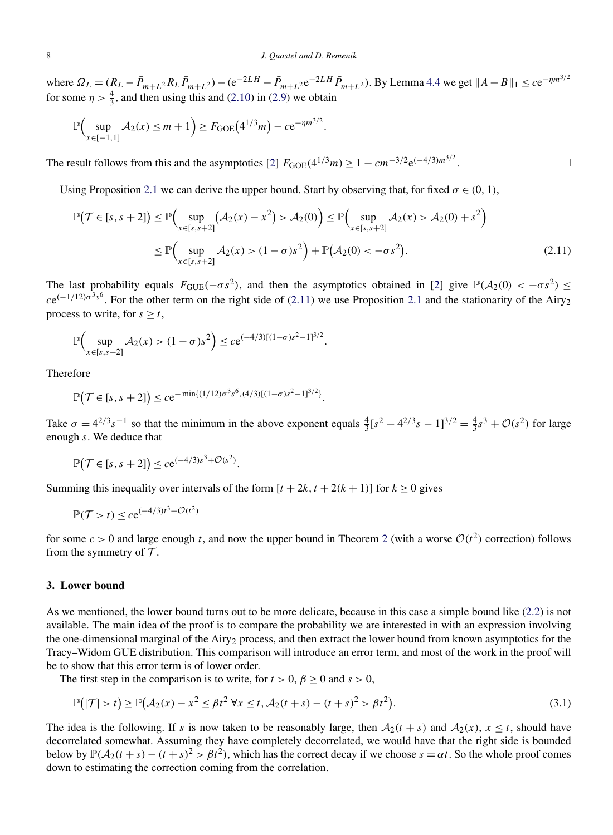<span id="page-7-0"></span>where  $\Omega_L = (R_L - \bar{P}_{m+L^2} R_L \bar{P}_{m+L^2}) - (e^{-2LH} - \bar{P}_{m+L^2} e^{-2LH} \bar{P}_{m+L^2})$ . By Lemma [4.4](#page-13-0) we get  $||A - B||_1 \leq c e^{-\eta m^{3/2}}$ for some  $\eta > \frac{4}{3}$ , and then using this and [\(2.10\)](#page-6-0) in [\(2.9\)](#page-6-0) we obtain

$$
\mathbb{P}\Big(\sup_{x\in[-1,1]}A_2(x)\leq m+1\Big)\geq F_{\text{GOE}}(4^{1/3}m)-ce^{-\eta m^{3/2}}.
$$

The result follows from this and the asymptotics [\[2\]](#page-16-0)  $F_{GOE}(4^{1/3}m) \ge 1 - cm^{-3/2}e^{(-4/3)m^{3/2}}$ . . — Процессиональные производствование и производствование и производствование и производствование и производст<br>В 1990 году в 1990 году в 1990 году в 1990 году в 1990 году в 1990 году в 1990 году в 1990 году в 1990 году в

Using Proposition [2.1](#page-6-0) we can derive the upper bound. Start by observing that, for fixed  $\sigma \in (0, 1)$ ,

$$
\mathbb{P}(\mathcal{T} \in [s, s+2]) \le \mathbb{P}\Big(\sup_{x \in [s, s+2]} (\mathcal{A}_2(x) - x^2) > \mathcal{A}_2(0)\Big) \le \mathbb{P}\Big(\sup_{x \in [s, s+2]} \mathcal{A}_2(x) > \mathcal{A}_2(0) + s^2\Big) \le \mathbb{P}\Big(\sup_{x \in [s, s+2]} \mathcal{A}_2(x) > (1-\sigma)s^2\Big) + \mathbb{P}(\mathcal{A}_2(0) < -\sigma s^2).
$$
\n(2.11)

The last probability equals  $F_{GUE}(-\sigma s^2)$ , and then the asymptotics obtained in [\[2\]](#page-16-0) give  $\mathbb{P}(\mathcal{A}_2(0) < -\sigma s^2) \leq$  $ce^{(-1/12)\sigma^3 s^6}$ . For the other term on the right side of ([2.1](#page-6-0)1) we use Proposition 2.1 and the stationarity of the Airy<sub>2</sub> process to write, for  $s \geq t$ ,

$$
\mathbb{P}\Big(\sup_{x\in[s,s+2]} \mathcal{A}_2(x) > (1-\sigma)s^2\Big) \leq c e^{(-4/3)[(1-\sigma)s^2-1]^{3/2}}.
$$

Therefore

$$
\mathbb{P}(\mathcal{T} \in [s, s+2]) \leq c e^{-\min\{(1/12)\sigma^3 s^6, (4/3)[(1-\sigma)s^2-1]^{3/2}\}}.
$$

Take  $\sigma = 4^{2/3} s^{-1}$  so that the minimum in the above exponent equals  $\frac{4}{3} [s^2 - 4^{2/3} s - 1]^{3/2} = \frac{4}{3} s^3 + \mathcal{O}(s^2)$  for large enough *s*. We deduce that

$$
\mathbb{P}(\mathcal{T} \in [s, s+2]) \le c e^{(-4/3)s^3 + \mathcal{O}(s^2)}.
$$

Summing this inequality over intervals of the form  $[t + 2k, t + 2(k + 1)]$  for  $k \ge 0$  gives

$$
\mathbb{P}(\mathcal{T} > t) \le c e^{(-4/3)t^3 + \mathcal{O}(t^2)}
$$

for some  $c > 0$  and large enough *t*, and now the upper bound in Theorem [2](#page-3-0) (with a worse  $O(t^2)$  correction) follows from the symmetry of  $\mathcal T$ .

#### **3. Lower bound**

As we mentioned, the lower bound turns out to be more delicate, because in this case a simple bound like [\(2.2\)](#page-4-0) is not available. The main idea of the proof is to compare the probability we are interested in with an expression involving the one-dimensional marginal of the Airy<sub>2</sub> process, and then extract the lower bound from known asymptotics for the Tracy–Widom GUE distribution. This comparison will introduce an error term, and most of the work in the proof will be to show that this error term is of lower order.

The first step in the comparison is to write, for  $t > 0$ ,  $\beta > 0$  and  $s > 0$ ,

$$
\mathbb{P}(|\mathcal{T}| > t) \ge \mathbb{P}(\mathcal{A}_2(x) - x^2 \le \beta t^2 \,\forall x \le t, \mathcal{A}_2(t+s) - (t+s)^2 > \beta t^2).
$$
\n(3.1)

The idea is the following. If *s* is now taken to be reasonably large, then  $A_2(t + s)$  and  $A_2(x)$ ,  $x \le t$ , should have decorrelated somewhat. Assuming they have completely decorrelated, we would have that the right side is bounded below by  $\mathbb{P}(\mathcal{A}_2(t+s)-(t+s)^2 > \beta t^2)$ , which has the correct decay if we choose  $s = \alpha t$ . So the whole proof comes down to estimating the correction coming from the correlation.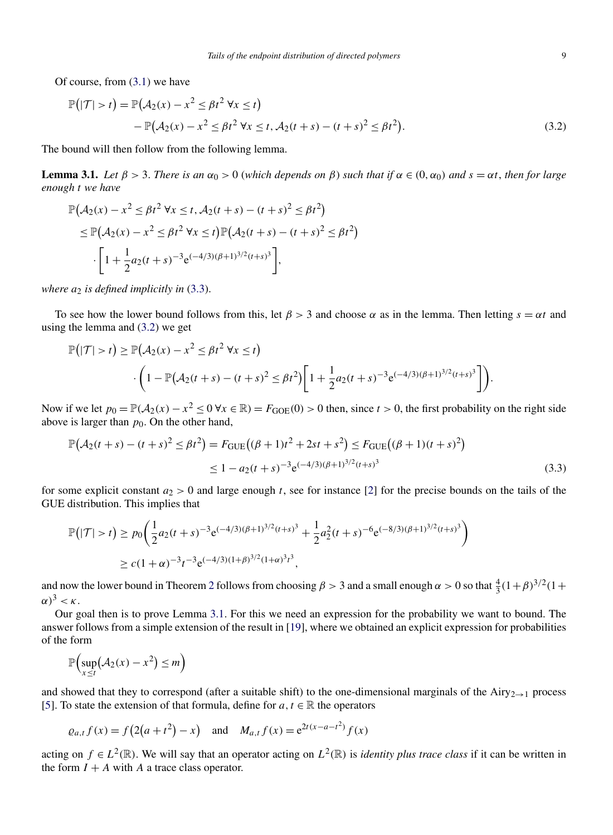<span id="page-8-0"></span>Of course, from [\(3.1\)](#page-7-0) we have

$$
\mathbb{P}(|\mathcal{T}| > t) = \mathbb{P}(\mathcal{A}_2(x) - x^2 \le \beta t^2 \,\forall x \le t) \n- \mathbb{P}(\mathcal{A}_2(x) - x^2 \le \beta t^2 \,\forall x \le t, \mathcal{A}_2(t+s) - (t+s)^2 \le \beta t^2).
$$
\n(3.2)

The bound will then follow from the following lemma.

**Lemma 3.1.** Let  $\beta > 3$ . There is an  $\alpha_0 > 0$  (which depends on  $\beta$ ) such that if  $\alpha \in (0, \alpha_0)$  and  $s = \alpha t$ , then for large *enough t we have*

$$
\mathbb{P}(A_2(x) - x^2 \le \beta t^2 \,\forall x \le t, A_2(t+s) - (t+s)^2 \le \beta t^2)
$$
  
\n
$$
\le \mathbb{P}(A_2(x) - x^2 \le \beta t^2 \,\forall x \le t) \mathbb{P}(A_2(t+s) - (t+s)^2 \le \beta t^2)
$$
  
\n
$$
\cdot \left[1 + \frac{1}{2}a_2(t+s)^{-3}e^{(-4/3)(\beta+1)^{3/2}(t+s)^3}\right],
$$

*where a*<sup>2</sup> *is defined implicitly in* (3.3).

To see how the lower bound follows from this, let  $\beta > 3$  and choose  $\alpha$  as in the lemma. Then letting  $s = \alpha t$  and using the lemma and (3.2) we get

$$
\mathbb{P}(|\mathcal{T}| > t) \ge \mathbb{P}(\mathcal{A}_2(x) - x^2 \le \beta t^2 \,\forall x \le t) \cdot \Bigg(1 - \mathbb{P}(\mathcal{A}_2(t+s) - (t+s)^2 \le \beta t^2)\Bigg[1 + \frac{1}{2}a_2(t+s)^{-3}e^{(-4/3)(\beta+1)^{3/2}(t+s)^3}\Bigg]\Bigg).
$$

Now if we let  $p_0 = \mathbb{P}(\mathcal{A}_2(x) - x^2 \le 0 \forall x \in \mathbb{R}) = F_{GOE}(0) > 0$  then, since  $t > 0$ , the first probability on the right side above is larger than  $p_0$ . On the other hand,

$$
\mathbb{P}(A_2(t+s) - (t+s)^2 \le \beta t^2) = F_{\text{GUE}}((\beta+1)t^2 + 2st + s^2) \le F_{\text{GUE}}((\beta+1)(t+s)^2)
$$
  

$$
\le 1 - a_2(t+s)^{-3} e^{(-4/3)(\beta+1)^{3/2}(t+s)^3}
$$
(3.3)

for some explicit constant  $a_2 > 0$  and large enough *t*, see for instance [\[2\]](#page-16-0) for the precise bounds on the tails of the GUE distribution. This implies that

$$
\mathbb{P}(|\mathcal{T}| > t) \ge p_0 \left( \frac{1}{2} a_2 (t+s)^{-3} e^{(-4/3)(\beta+1)^{3/2} (t+s)^3} + \frac{1}{2} a_2^2 (t+s)^{-6} e^{(-8/3)(\beta+1)^{3/2} (t+s)^3} \right)
$$
  
 
$$
\ge c(1+\alpha)^{-3} t^{-3} e^{(-4/3)(1+\beta)^{3/2} (1+\alpha)^3 t^3},
$$

and now the lower bound in Theorem [2](#page-3-0) follows from choosing  $\beta > 3$  and a small enough  $\alpha > 0$  so that  $\frac{4}{3}(1+\beta)^{3/2}(1+\beta)^{3/2}$  $(\alpha)^3 < \kappa$ .

Our goal then is to prove Lemma 3.1. For this we need an expression for the probability we want to bound. The answer follows from a simple extension of the result in [\[19\]](#page-16-0), where we obtained an explicit expression for probabilities of the form

$$
\mathbb{P}\Big(\sup_{x\leq t}(\mathcal{A}_2(x)-x^2)\leq m\Big)
$$

and showed that they to correspond (after a suitable shift) to the one-dimensional marginals of the Airy<sub>2→1</sub> process [\[5\]](#page-16-0). To state the extension of that formula, define for  $a, t \in \mathbb{R}$  the operators

$$
\varrho_{a,t} f(x) = f(2(a+t^2) - x)
$$
 and  $M_{a,t} f(x) = e^{2t(x-a-t^2)} f(x)$ 

acting on  $f \in L^2(\mathbb{R})$ . We will say that an operator acting on  $L^2(\mathbb{R})$  is *identity plus trace class* if it can be written in the form  $I + A$  with  $A$  a trace class operator.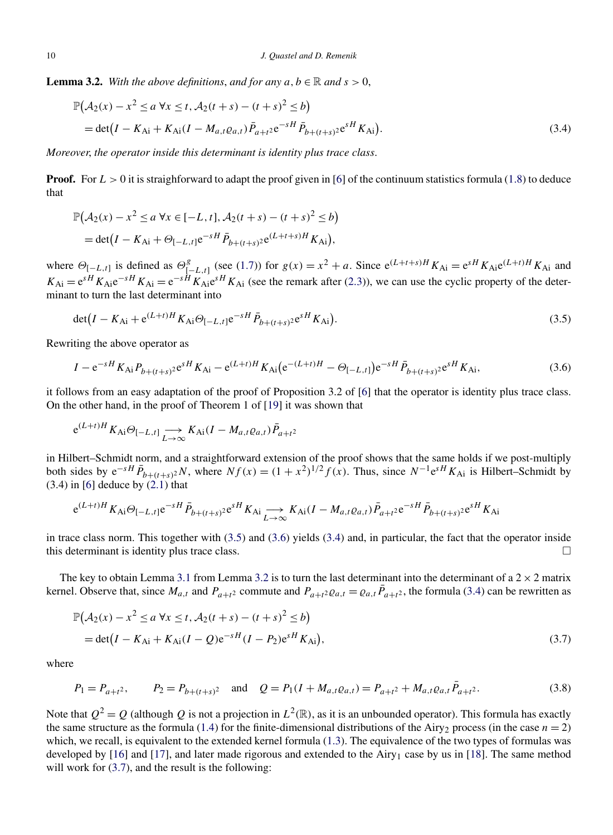<span id="page-9-0"></span>**Lemma 3.2.** *With the above definitions, and for any*  $a, b \in \mathbb{R}$  *and*  $s > 0$ ,

$$
\mathbb{P}(A_2(x) - x^2 \le a \forall x \le t, A_2(t+s) - (t+s)^2 \le b)
$$
  
= det $(I - K_{Ai} + K_{Ai}(I - M_{a,t}\varrho_{a,t})\bar{P}_{a+t^2}e^{-sH}\bar{P}_{b+(t+s)^2}e^{sH}K_{Ai}).$  (3.4)

*Moreover*, *the operator inside this determinant is identity plus trace class*.

**Proof.** For  $L > 0$  it is straighforward to adapt the proof given in [\[6\]](#page-16-0) of the continuum statistics formula [\(1.8\)](#page-4-0) to deduce that

$$
\mathbb{P}(\mathcal{A}_2(x) - x^2 \le a \,\forall x \in [-L, t], \mathcal{A}_2(t+s) - (t+s)^2 \le b)
$$
  
= det $(I - K_{Ai} + \Theta_{[-L, t]} e^{-sH} \bar{P}_{b+(t+s)^2} e^{(L+t+s)H} K_{Ai}),$ 

where  $\Theta_{[-L,t]}$  is defined as  $\Theta_{[-L,t]}^g$  (see [\(1.7\)](#page-4-0)) for  $g(x) = x^2 + a$ . Since  $e^{(L+t+s)H}K_{Ai} = e^{sH}K_{Ai}e^{(L+t)H}K_{Ai}$  and  $K_{\rm Ai} = e^{sH} K_{\rm Ai} e^{-sH} K_{\rm Ai} = e^{-sH} K_{\rm Ai} e^{sH} K_{\rm Ai}$  (see the remark after [\(2.3\)](#page-5-0)), we can use the cyclic property of the determinant to turn the last determinant into

$$
\det(I - K_{\text{Ai}} + e^{(L+t)H} K_{\text{Ai}} \Theta_{[-L,t]} e^{-sH} \bar{P}_{b+(t+s)} e^{sH} K_{\text{Ai}}). \tag{3.5}
$$

Rewriting the above operator as

$$
I - e^{-sH} K_{Ai} P_{b+(t+s)^2} e^{sH} K_{Ai} - e^{(L+t)H} K_{Ai} (e^{-(L+t)H} - \Theta_{[-L,t]}) e^{-sH} \bar{P}_{b+(t+s)^2} e^{sH} K_{Ai},
$$
(3.6)

it follows from an easy adaptation of the proof of Proposition 3.2 of [\[6\]](#page-16-0) that the operator is identity plus trace class. On the other hand, in the proof of Theorem 1 of [\[19\]](#page-16-0) it was shown that

$$
e^{(L+i)H} K_{Ai} \Theta_{[-L,t]} \longrightarrow K_{Ai} (I - M_{a,t} \varrho_{a,t}) \overline{P}_{a+t^2}
$$

in Hilbert–Schmidt norm, and a straightforward extension of the proof shows that the same holds if we post-multiply both sides by  $e^{-sH} \bar{P}_{b+(t+s)^2}N$ , where  $Nf(x) = (1+x^2)^{1/2} f(x)$ . Thus, since  $N^{-1}e^{sH} K_{\text{Ai}}$  is Hilbert–Schmidt by  $(3.4)$  in [\[6\]](#page-16-0) deduce by  $(2.1)$  that

$$
e^{(L+t)H} K_{Ai} \Theta_{[-L,t]} e^{-sH} \bar{P}_{b+(t+s)^2} e^{sH} K_{Ai} \longrightarrow K_{Ai} (I - M_{a,t} \varrho_{a,t}) \bar{P}_{a+t^2} e^{-sH} \bar{P}_{b+(t+s)^2} e^{sH} K_{Ai}
$$

in trace class norm. This together with  $(3.5)$  and  $(3.6)$  yields  $(3.4)$  and, in particular, the fact that the operator inside this determinant is identity plus trace class.  $\Box$ 

The key to obtain Lemma [3.1](#page-8-0) from Lemma 3.2 is to turn the last determinant into the determinant of a  $2 \times 2$  matrix kernel. Observe that, since  $M_{a,t}$  and  $P_{a+t^2}$  commute and  $P_{a+t^2}e_{a,t} = e_{a,t}\bar{P}_{a+t^2}$ , the formula (3.4) can be rewritten as

$$
\mathbb{P}(A_2(x) - x^2 \le a \forall x \le t, A_2(t+s) - (t+s)^2 \le b)
$$
  
= det $(I - K_{Ai} + K_{Ai}(I - Q)e^{-sH}(I - P_2)e^{sH}K_{Ai}),$  (3.7)

where

$$
P_1 = P_{a+t^2}, \qquad P_2 = P_{b+(t+s)^2} \quad \text{and} \quad Q = P_1(I + M_{a,t} \varrho_{a,t}) = P_{a+t^2} + M_{a,t} \varrho_{a,t} \bar{P}_{a+t^2}.
$$
 (3.8)

Note that  $Q^2 = Q$  (although *Q* is not a projection in  $L^2(\mathbb{R})$ , as it is an unbounded operator). This formula has exactly the same structure as the formula [\(1.4\)](#page-2-0) for the finite-dimensional distributions of the Airy<sub>2</sub> process (in the case  $n = 2$ ) which, we recall, is equivalent to the extended kernel formula [\(1.3\)](#page-2-0). The equivalence of the two types of formulas was developed by [\[16\]](#page-16-0) and [\[17\]](#page-16-0), and later made rigorous and extended to the Airy<sub>1</sub> case by us in [\[18\]](#page-16-0). The same method will work for  $(3.7)$ , and the result is the following: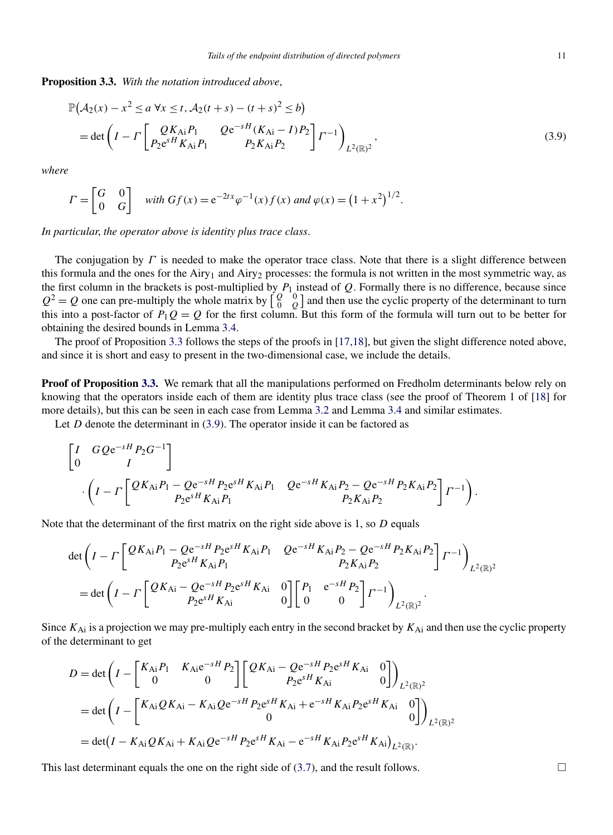<span id="page-10-0"></span>**Proposition 3.3.** *With the notation introduced above*,

$$
\mathbb{P}(A_2(x) - x^2 \le a \forall x \le t, A_2(t+s) - (t+s)^2 \le b)
$$
  
= det  $\left(I - \Gamma \begin{bmatrix} QK_{Ai}P_1 & Qe^{-sH}(K_{Ai} - I)P_2 \ P_2\epsilon^{sH}K_{Ai}P_1 & P_2K_{Ai}P_2 \end{bmatrix} \Gamma^{-1}\right)_{L^2(\mathbb{R})^2}$ , (3.9)

*where*

$$
\Gamma = \begin{bmatrix} G & 0 \\ 0 & G \end{bmatrix} \text{ with } Gf(x) = e^{-2tx} \varphi^{-1}(x) f(x) \text{ and } \varphi(x) = (1 + x^2)^{1/2}.
$$

*In particular*, *the operator above is identity plus trace class*.

The conjugation by *Γ* is needed to make the operator trace class. Note that there is a slight difference between this formula and the ones for the Airy<sub>1</sub> and Airy<sub>2</sub> processes: the formula is not written in the most symmetric way, as the first column in the brackets is post-multiplied by  $P_1$  instead of  $Q$ . Formally there is no difference, because since  $Q^2 = Q$  one can pre-multiply the whole matrix by  $\begin{bmatrix} Q \\ Q \end{bmatrix}$  $\boldsymbol{0}$  $\binom{0}{Q}$  and then use the cyclic property of the determinant to turn this into a post-factor of  $P_1Q = Q$  for the first column. But this form of the formula will turn out to be better for obtaining the desired bounds in Lemma [3.4.](#page-12-0)

The proof of Proposition 3.3 follows the steps of the proofs in [\[17,18\]](#page-16-0), but given the slight difference noted above, and since it is short and easy to present in the two-dimensional case, we include the details.

**Proof of Proposition 3.3.** We remark that all the manipulations performed on Fredholm determinants below rely on knowing that the operators inside each of them are identity plus trace class (see the proof of Theorem 1 of [\[18\]](#page-16-0) for more details), but this can be seen in each case from Lemma [3.2](#page-9-0) and Lemma [3.4](#page-12-0) and similar estimates.

Let *D* denote the determinant in (3.9). The operator inside it can be factored as

$$
\begin{bmatrix} I & GQe^{-sH}P_2G^{-1} \ 0 & I \end{bmatrix}
$$

$$
\cdot \left( I - \Gamma \left[ \frac{QK_{Ai}P_1 - Qe^{-sH}P_2e^{sH}K_{Ai}P_1}{P_2e^{sH}K_{Ai}P_1} \frac{Qe^{-sH}K_{Ai}P_2 - Qe^{-sH}P_2K_{Ai}P_2}{P_2K_{Ai}P_2} \right] \Gamma^{-1} \right).
$$

Note that the determinant of the first matrix on the right side above is 1, so *D* equals

$$
\det \left( I - \Gamma \left[ \frac{Q K_{Ai} P_1 - Q e^{-sH} P_2 e^{sH} K_{Ai} P_1}{P_2 e^{sH} K_{Ai} P_1} \right. \left. \right. \left. \right. Q e^{-sH} K_{Ai} P_2 - Q e^{-sH} P_2 K_{Ai} P_2 \right] \Gamma^{-1} \right)_{L^2(\mathbb{R})^2}
$$
\n
$$
= \det \left( I - \Gamma \left[ \frac{Q K_{Ai} - Q e^{-sH} P_2 e^{sH} K_{Ai}}{P_2 e^{sH} K_{Ai}} \right] \left[ \begin{array}{cc} P_1 & e^{-sH} P_2 \\ 0 & 0 \end{array} \right] \Gamma^{-1} \right)_{L^2(\mathbb{R})^2}.
$$

Since *K*Ai is a projection we may pre-multiply each entry in the second bracket by *K*Ai and then use the cyclic property of the determinant to get

$$
D = \det \left( I - \begin{bmatrix} K_{Ai} P_1 & K_{Ai} e^{-sH} P_2 \\ 0 & 0 \end{bmatrix} \begin{bmatrix} Q K_{Ai} - Q e^{-sH} P_2 e^{sH} K_{Ai} & 0 \\ P_2 e^{sH} K_{Ai} & 0 \end{bmatrix} \right)_{L^2(\mathbb{R})^2}
$$
  
= 
$$
\det \left( I - \begin{bmatrix} K_{Ai} Q K_{Ai} - K_{Ai} Q e^{-sH} P_2 e^{sH} K_{Ai} + e^{-sH} K_{Ai} P_2 e^{sH} K_{Ai} & 0 \\ 0 & 0 \end{bmatrix} \right)_{L^2(\mathbb{R})^2}
$$
  
= 
$$
\det (I - K_{Ai} Q K_{Ai} + K_{Ai} Q e^{-sH} P_2 e^{sH} K_{Ai} - e^{-sH} K_{Ai} P_2 e^{sH} K_{Ai} )_{L^2(\mathbb{R})}.
$$

This last determinant equals the one on the right side of  $(3.7)$ , and the result follows.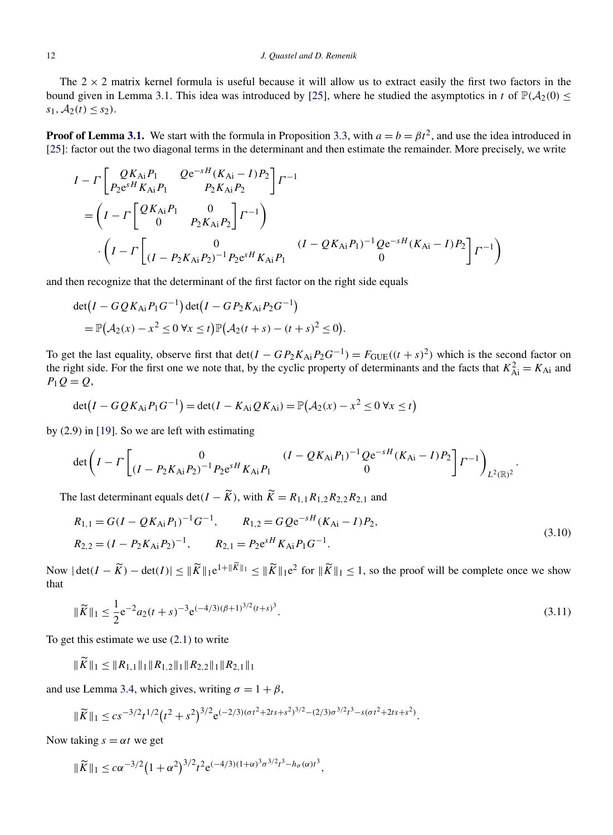<span id="page-11-0"></span>The  $2 \times 2$  matrix kernel formula is useful because it will allow us to extract easily the first two factors in the bound given in Lemma [3.1.](#page-8-0) This idea was introduced by [\[25\]](#page-16-0), where he studied the asymptotics in *t* of  $\mathbb{P}(\mathcal{A}_2(0) \leq$  $s_1, A_2(t) \leq s_2$ .

**Proof of Lemma [3.1.](#page-8-0)** We start with the formula in Proposition [3.3,](#page-10-0) with  $a = b = \beta t^2$ , and use the idea introduced in [\[25\]](#page-16-0): factor out the two diagonal terms in the determinant and then estimate the remainder. More precisely, we write

$$
I - \Gamma \left[ \begin{array}{cc} QK_{Ai}P_{1} & Qe^{-sH}(K_{Ai}-I)P_{2} \\ P_{2}e^{sH}K_{Ai}P_{1} & P_{2}K_{Ai}P_{2} \end{array} \right] \Gamma^{-1}
$$
  
= 
$$
\left(I - \Gamma \left[ \begin{array}{cc} QK_{Ai}P_{1} & 0 \\ 0 & P_{2}K_{Ai}P_{2} \end{array} \right] \Gamma^{-1} \right)
$$

$$
\cdot \left(I - \Gamma \left[ \begin{array}{cc} 0 & (I - QK_{Ai}P_{1})^{-1}Qe^{-sH}(K_{Ai} - I)P_{2} \\ (I - P_{2}K_{Ai}P_{2})^{-1}P_{2}e^{sH}K_{Ai}P_{1} & 0 \end{array} \right] \Gamma^{-1} \right)
$$

and then recognize that the determinant of the first factor on the right side equals

$$
\det(I - GQK_{Ai}P_{1}G^{-1})\det(I - GP_{2}K_{Ai}P_{2}G^{-1})
$$
  
=  $\mathbb{P}(\mathcal{A}_{2}(x) - x^{2} \leq 0 \forall x \leq t)\mathbb{P}(\mathcal{A}_{2}(t + s) - (t + s)^{2} \leq 0).$ 

To get the last equality, observe first that  $\det(I - GP_2 K_{Ai}P_2G^{-1}) = F_{GUE}((t + s)^2)$  which is the second factor on the right side. For the first one we note that, by the cyclic property of determinants and the facts that  $K_{Ai}^2 = K_{Ai}$  and *P*1*Q* = *Q*,

$$
\det(I - GQK_{\text{Ai}}P_1G^{-1}) = \det(I - K_{\text{Ai}}QK_{\text{Ai}}) = \mathbb{P}(\mathcal{A}_2(x) - x^2 \le 0 \,\forall x \le t)
$$

by (2.9) in [\[19\]](#page-16-0). So we are left with estimating

$$
\det\left(I-\Gamma\begin{bmatrix}0&(I-QK_{\text{Ai}}P_1)^{-1}Qe^{-sH}(K_{\text{Ai}}-I)P_2\\(I-P_2K_{\text{Ai}}P_2)^{-1}P_2e^{sH}K_{\text{Ai}}P_1&0\end{bmatrix}^{-1}Qe^{-sH}(K_{\text{Ai}}-I)P_2\begin{bmatrix}P_1\\P_2\end{bmatrix}^{-1}\right)_{L^2(\mathbb{R})^2}.
$$

The last determinant equals det $(I - \widetilde{K})$ , with  $\widetilde{K} = R_{1,1}R_{1,2}R_{2,2}R_{2,1}$  and

$$
R_{1,1} = G(I - QK_{Ai}P_1)^{-1}G^{-1}, \qquad R_{1,2} = GQe^{-sH}(K_{Ai} - I)P_2,
$$
  
\n
$$
R_{2,2} = (I - P_2K_{Ai}P_2)^{-1}, \qquad R_{2,1} = P_2e^{sH}K_{Ai}P_1G^{-1}.
$$
\n(3.10)

Now  $|\det(I - \widetilde{K}) - \det(I)| \leq ||\widetilde{K}||_1 e^{1 + ||\widetilde{K}||_1} \leq ||\widetilde{K}||_1 e^{2}$  for  $||\widetilde{K}||_1 \leq 1$ , so the proof will be complete once we show that

$$
\|\widetilde{K}\|_{1} \le \frac{1}{2} e^{-2} a_{2}(t+s)^{-3} e^{(-4/3)(\beta+1)^{3/2}(t+s)^{3}}.
$$
\n(3.11)

To get this estimate we use [\(2.1\)](#page-4-0) to write

 $\|\tilde{K}\|_1 \leq \|R_{1,1}\|_1 \|R_{1,2}\|_1 \|R_{2,2}\|_1 \|R_{2,1}\|_1$ 

and use Lemma [3.4,](#page-12-0) which gives, writing  $\sigma = 1 + \beta$ ,

$$
\|\widetilde{K}\|_{1} \leq c s^{-3/2} t^{1/2} \left(t^{2} + s^{2}\right)^{3/2} e^{(-2/3)(\sigma t^{2} + 2ts + s^{2})^{3/2} - (2/3)\sigma^{3/2} t^{3} - s(\sigma t^{2} + 2ts + s^{2})}.
$$

Now taking  $s = \alpha t$  we get

$$
\|\widetilde{K}\|_{1} \leq c\alpha^{-3/2} \big(1+\alpha^{2}\big)^{3/2} t^{2} e^{(-4/3)(1+\alpha)^{3} \sigma^{3/2} t^{3} - h_{\sigma}(\alpha)t^{3}},
$$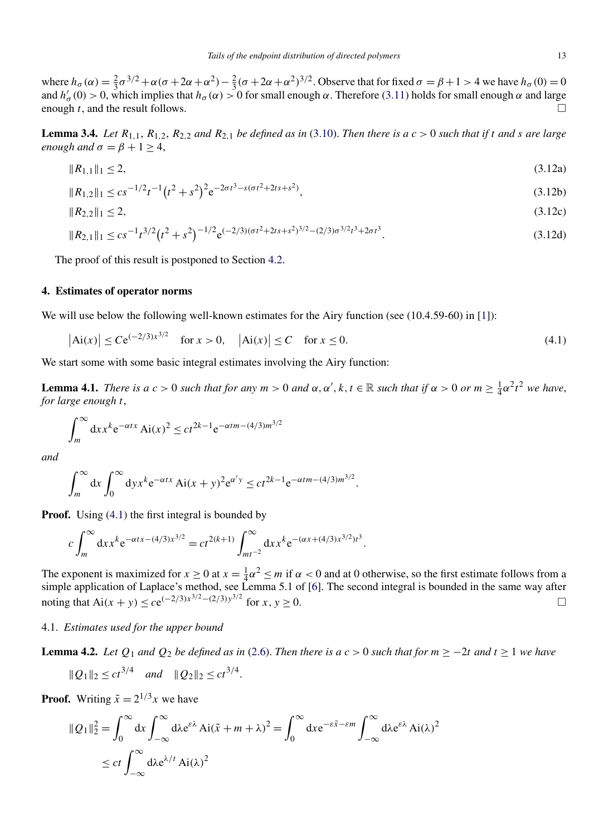<span id="page-12-0"></span>where  $h_{\sigma}(\alpha) = \frac{2}{3}\sigma^{3/2} + \alpha(\sigma + 2\alpha + \alpha^2) - \frac{2}{3}(\sigma + 2\alpha + \alpha^2)^{3/2}$ . Observe that for fixed  $\sigma = \beta + 1 > 4$  we have  $h_{\sigma}(0) = 0$ and  $h'_\sigma(0) > 0$ , which implies that  $h_\sigma(\alpha) > 0$  for small enough  $\alpha$ . Therefore [\(3.11\)](#page-11-0) holds for small enough  $\alpha$  and large enough  $t$ , and the result follows.  $\Box$ 

**Lemma 3.4.** Let  $R_{1,1}$ ,  $R_{1,2}$ ,  $R_{2,2}$  and  $R_{2,1}$  be defined as in [\(3.10\)](#page-11-0). Then there is a  $c > 0$  such that if t and s are large *enough and*  $\sigma = \beta + 1 > 4$ ,

$$
||R_{1,1}||_1 \le 2,\tag{3.12a}
$$

$$
||R_{1,2}||_1 \le c s^{-1/2} t^{-1} \left(t^2 + s^2\right)^2 e^{-2\sigma t^3 - s(\sigma t^2 + 2ts + s^2)},
$$
\n(3.12b)

$$
||R_{2,2}||_1 \le 2,\tag{3.12c}
$$

$$
||R_{2,1}||_1 \le c s^{-1} t^{3/2} \left(t^2 + s^2\right)^{-1/2} e^{(-2/3)(\sigma t^2 + 2ts + s^2)^{3/2} - (2/3)\sigma^{3/2} t^3 + 2\sigma t^3}.
$$
\n(3.12d)

The proof of this result is postponed to Section [4.2.](#page-14-0)

#### **4. Estimates of operator norms**

We will use below the following well-known estimates for the Airy function (see  $(10.4.59-60)$  in [\[1\]](#page-16-0)):

$$
|\text{Ai}(x)| \le Ce^{(-2/3)x^{3/2}} \quad \text{for } x > 0, \quad |\text{Ai}(x)| \le C \quad \text{for } x \le 0.
$$
 (4.1)

We start some with some basic integral estimates involving the Airy function:

**Lemma 4.1.** *There is a*  $c > 0$  *such that for any*  $m > 0$  *and*  $\alpha, \alpha', k, t \in \mathbb{R}$  *such that if*  $\alpha > 0$  *or*  $m \ge \frac{1}{4}\alpha^2 t^2$  *we have, for large enough t*,

$$
\int_{m}^{\infty} dx x^{k} e^{-\alpha t x} Ai(x)^{2} \le ct^{2k-1} e^{-\alpha t m - (4/3)m^{3/2}}
$$

*and*

$$
\int_{m}^{\infty} dx \int_{0}^{\infty} dy x^{k} e^{-\alpha t x} Ai(x+y)^{2} e^{\alpha' y} \le ct^{2k-1} e^{-\alpha t m - (4/3)m^{3/2}}.
$$

**Proof.** Using (4.1) the first integral is bounded by

$$
c\int_{m}^{\infty} dx x^{k} e^{-\alpha t x - (4/3)x^{3/2}} = ct^{2(k+1)} \int_{mt^{-2}}^{\infty} dx x^{k} e^{-(\alpha x + (4/3)x^{3/2})t^{3}}.
$$

The exponent is maximized for  $x \ge 0$  at  $x = \frac{1}{4}\alpha^2 \le m$  if  $\alpha < 0$  and at 0 otherwise, so the first estimate follows from a simple application of Laplace's method, see Lemma 5.1 of [\[6\]](#page-16-0). The second integral is bounded in the same way after noting that Ai(*x* + *y*) ≤ *c*e<sup> $(-2/3)x^{3/2}-(2/3)y^{3/2}$  for *x*, *y* ≥ 0.  $\Box$ </sup>

#### 4.1. *Estimates used for the upper bound*

**Lemma 4.2.** *Let*  $Q_1$  *and*  $Q_2$  *be defined as in* [\(2.6\)](#page-5-0). *Then there is a c* > 0 *such that for*  $m ≥ −2t$  *and*  $t ≥ 1$  *we have* 

$$
||Q_1||_2 \le ct^{3/4}
$$
 and  $||Q_2||_2 \le ct^{3/4}$ .

**Proof.** Writing  $\tilde{x} = 2^{1/3}x$  we have

 $\overline{\phantom{a}}$ 

$$
|Q_1||_2^2 = \int_0^\infty dx \int_{-\infty}^\infty d\lambda e^{\epsilon \lambda} Ai(\tilde{x} + m + \lambda)^2 = \int_0^\infty dx e^{-\epsilon \tilde{x} - \epsilon m} \int_{-\infty}^\infty d\lambda e^{\epsilon \lambda} Ai(\lambda)^2
$$
  

$$
\le ct \int_{-\infty}^\infty d\lambda e^{\lambda/t} Ai(\lambda)^2
$$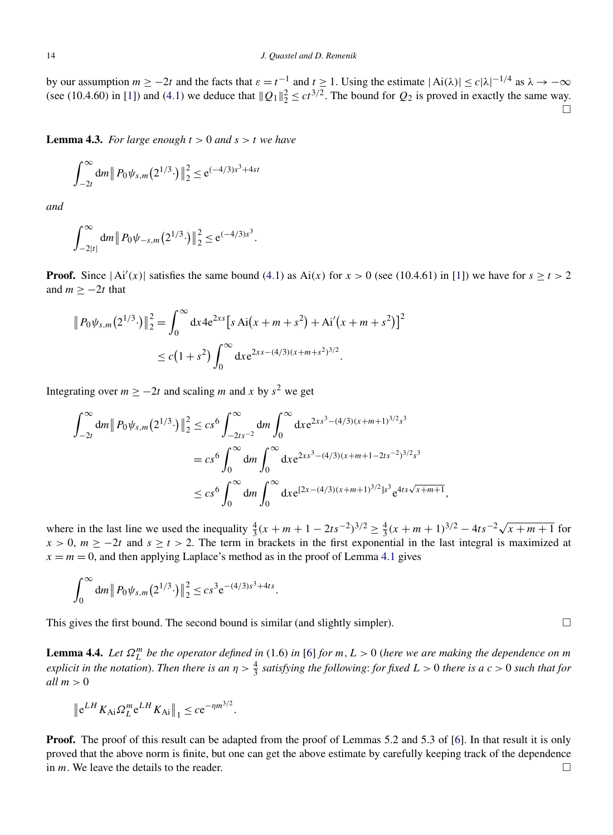<span id="page-13-0"></span>by our assumption  $m \ge -2t$  and the facts that  $\varepsilon = t^{-1}$  and  $t \ge 1$ . Using the estimate  $|\text{Ai}(\lambda)| \le c|\lambda|^{-1/4}$  as  $\lambda \to -\infty$ (see (10.4.60) in [\[1\]](#page-16-0)) and [\(4.1\)](#page-12-0) we deduce that  $||Q_1||_2^2 \le ct^{3/2}$ . The bound for  $Q_2$  is proved in exactly the same way.  $\Box$ 

**Lemma 4.3.** *For large enough*  $t > 0$  *and*  $s > t$  *we have* 

$$
\int_{-2t}^{\infty} dm \, \| P_0 \psi_{s,m} (2^{1/3} \cdot) \|_2^2 \le e^{(-4/3)s^3 + 4st}
$$

*and*

$$
\int_{-2|t|}^{\infty} dm \|P_0 \psi_{-s,m}(2^{1/3} \cdot)\|_2^2 \leq e^{(-4/3)s^3}.
$$

**Proof.** Since  $|Ai'(x)|$  satisfies the same bound [\(4.1\)](#page-12-0) as Ai(x) for  $x > 0$  (see (10.4.61) in [\[1\]](#page-16-0)) we have for  $s \ge t > 2$ and  $m \ge -2t$  that

$$
|| P_0 \psi_{s,m}(2^{1/3} \cdot)||_2^2 = \int_0^\infty dx \, 4e^{2xs} \left[ s A i(x + m + s^2) + A i'(x + m + s^2) \right]^2
$$
  
 
$$
\leq c \left(1 + s^2\right) \int_0^\infty dx \, e^{2xs - (4/3)(x + m + s^2)^{3/2}}.
$$

Integrating over  $m \ge -2t$  and scaling *m* and *x* by  $s^2$  we get

$$
\int_{-2t}^{\infty} dm \|P_0 \psi_{s,m}(2^{1/3} \cdot) \|_2^2 \le cs^6 \int_{-2ts^{-2}}^{\infty} dm \int_0^{\infty} dx e^{2xs^3 - (4/3)(x+m+1)^{3/2}s^3}
$$
  
=  $cs^6 \int_0^{\infty} dm \int_0^{\infty} dx e^{2xs^3 - (4/3)(x+m+1-2ts^{-2})^{3/2}s^3}$   
 $\le cs^6 \int_0^{\infty} dm \int_0^{\infty} dx e^{[2x - (4/3)(x+m+1)^{3/2}]s^3} e^{4ts\sqrt{x+m+1}},$ 

where in the last line we used the inequality  $\frac{4}{3}(x + m + 1 - 2ts^{-2})^{3/2} \ge \frac{4}{3}(x + m + 1)^{3/2} - 4ts^{-2}\sqrt{x + m + 1}$  for  $x > 0$ ,  $m \ge -2t$  and  $s \ge t > 2$ . The term in brackets in the first exponential in the last integral is maximized at  $x = m = 0$ , and then applying Laplace's method as in the proof of Lemma [4.1](#page-12-0) gives

$$
\int_0^\infty dm \|P_0 \psi_{s,m}(2^{1/3} \cdot)\|_2^2 \leq c s^3 e^{-(4/3)s^3 + 4ts}.
$$

This gives the first bound. The second bound is similar (and slightly simpler).

**Lemma 4.4.** Let  $\Omega_L^m$  be the operator defined in (1.6) in [\[6\]](#page-16-0) for  $m, L > 0$  (here we are making the dependence on m *explicit in the notation*). *Then there is an*  $\eta > \frac{4}{3}$  *satisfying the following*: *for fixed*  $L > 0$  *there is a*  $c > 0$  *such that for all m >* 0

$$
\|e^{LH} K_{Ai} \Omega_L^m e^{LH} K_{Ai}\|_1 \leq c e^{-\eta m^{3/2}}.
$$

**Proof.** The proof of this result can be adapted from the proof of Lemmas 5.2 and 5.3 of [\[6\]](#page-16-0). In that result it is only proved that the above norm is finite, but one can get the above estimate by carefully keeping track of the dependence in *m*. We leave the details to the reader.  $\Box$ 

 $\Box$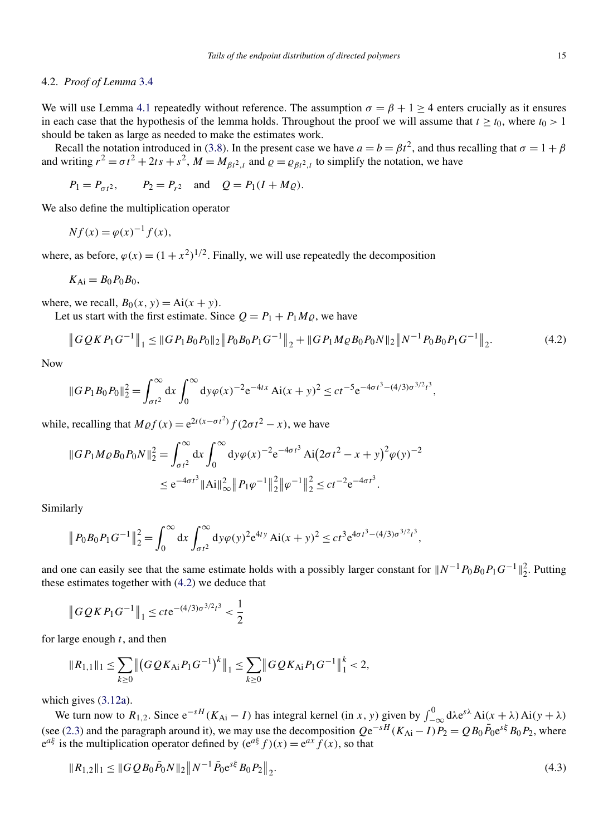#### <span id="page-14-0"></span>4.2. *Proof of Lemma* [3.4](#page-12-0)

We will use Lemma [4.1](#page-12-0) repeatedly without reference. The assumption  $\sigma = \beta + 1 > 4$  enters crucially as it ensures in each case that the hypothesis of the lemma holds. Throughout the proof we will assume that  $t \geq t_0$ , where  $t_0 > 1$ should be taken as large as needed to make the estimates work.

Recall the notation introduced in [\(3.8\)](#page-9-0). In the present case we have  $a = b = \beta t^2$ , and thus recalling that  $\sigma = 1 + \beta$ and writing  $r^2 = \sigma t^2 + 2ts + s^2$ ,  $M = M_{\beta t^2, t}$  and  $\rho = \rho_{\beta t^2, t}$  to simplify the notation, we have

$$
P_1 = P_{\sigma t^2}
$$
,  $P_2 = P_{r^2}$  and  $Q = P_1(I + M_Q)$ .

We also define the multiplication operator

$$
Nf(x) = \varphi(x)^{-1}f(x),
$$

where, as before,  $\varphi(x) = (1 + x^2)^{1/2}$ . Finally, we will use repeatedly the decomposition

$$
K_{\rm Ai}=B_0P_0B_0,
$$

where, we recall,  $B_0(x, y) = Ai(x + y)$ .

Let us start with the first estimate. Since  $Q = P_1 + P_1 M_Q$ , we have

$$
\|GQRP_1G^{-1}\|_1 \le \|GP_1B_0P_0\|_2 \|P_0B_0P_1G^{-1}\|_2 + \|GP_1M\varrho B_0P_0N\|_2 \|N^{-1}P_0B_0P_1G^{-1}\|_2.
$$
\n(4.2)

Now

$$
||GP_1B_0P_0||_2^2 = \int_{\sigma t^2}^{\infty} dx \int_0^{\infty} dy \varphi(x)^{-2} e^{-4tx} Ai(x+y)^2 \le ct^{-5} e^{-4\sigma t^3 - (4/3)\sigma^{3/2}t^3},
$$

while, recalling that  $M \varrho f(x) = e^{2t(x-\sigma t^2)} f(2\sigma t^2 - x)$ , we have

$$
||GP_1 M \varrho B_0 P_0 N||_2^2 = \int_{\sigma t^2}^{\infty} dx \int_0^{\infty} dy \varphi(x)^{-2} e^{-4\sigma t^3} Ai(2\sigma t^2 - x + y)^2 \varphi(y)^{-2}
$$
  

$$
\leq e^{-4\sigma t^3} ||Ai||_{\infty}^2 ||P_1 \varphi^{-1}||_2^2 ||\varphi^{-1}||_2^2 \leq ct^{-2} e^{-4\sigma t^3}.
$$

Similarly

$$
\|P_0B_0P_1G^{-1}\|_2^2 = \int_0^\infty dx \int_{\sigma t^2}^\infty dy \varphi(y)^2 e^{4ty} Ai(x+y)^2 \le ct^3 e^{4\sigma t^3 - (4/3)\sigma^{3/2}t^3},
$$

and one can easily see that the same estimate holds with a possibly larger constant for  $||N^{-1}P_0B_0P_1G^{-1}||_2^2$ . Putting these estimates together with (4.2) we deduce that

$$
\left\|GQRP_1G^{-1}\right\|_1 \le cte^{-(4/3)\sigma^{3/2}t^3} < \frac{1}{2}
$$

for large enough *t*, and then

$$
||R_{1,1}||_1 \leq \sum_{k\geq 0} ||(GQK_{\mathrm{Ai}}P_1G^{-1})^k||_1 \leq \sum_{k\geq 0} ||GQK_{\mathrm{Ai}}P_1G^{-1}||_1^k < 2,
$$

which gives [\(3.12a\)](#page-12-0).

We turn now to  $R_{1,2}$ . Since  $e^{-sH}(K_{Ai} - I)$  has integral kernel (in *x*, *y*) given by  $\int_{-\infty}^{0} d\lambda e^{s\lambda} Ai(x + \lambda) Ai(y + \lambda)$ (see [\(2.3\)](#page-5-0) and the paragraph around it), we may use the decomposition  $Qe^{-sH}(K_{Ai}-I)P_2 = QB_0\bar{P}_0e^{s\xi}B_0P_2$ , where  $e^{a\xi}$  is the multiplication operator defined by  $(e^{a\xi} f)(x) = e^{ax} f(x)$ , so that

$$
||R_{1,2}||_1 \le ||GQB_0\overline{P}_0N||_2||N^{-1}\overline{P}_0e^{s\xi}B_0P_2||_2.
$$
\n(4.3)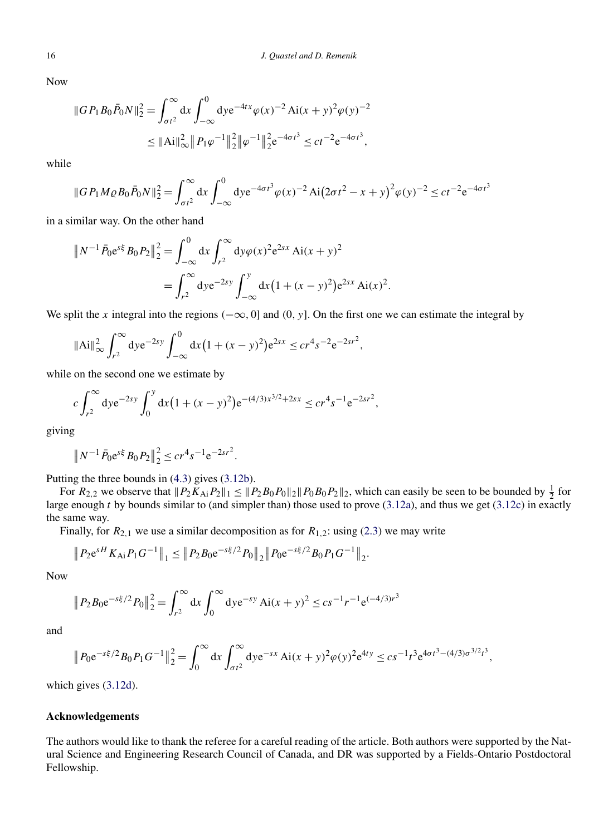Now

$$
||G P_1 B_0 \bar{P}_0 N||_2^2 = \int_{\sigma t^2}^{\infty} dx \int_{-\infty}^0 dy e^{-4tx} \varphi(x)^{-2} Ai(x+y)^2 \varphi(y)^{-2}
$$
  

$$
\leq ||Ai||_{\infty}^2 ||P_1 \varphi^{-1}||_2^2 ||\varphi^{-1}||_2^2 e^{-4\sigma t^3} \leq ct^{-2} e^{-4\sigma t^3},
$$

while

$$
||GP_1 M \varrho B_0 \bar{P}_0 N ||_2^2 = \int_{\sigma t^2}^{\infty} dx \int_{-\infty}^0 dy e^{-4\sigma t^3} \varphi(x)^{-2} Ai(2\sigma t^2 - x + y)^2 \varphi(y)^{-2} \le ct^{-2} e^{-4\sigma t^3}
$$

in a similar way. On the other hand

$$
||N^{-1} \bar{P}_0 e^{s\xi} B_0 P_2||_2^2 = \int_{-\infty}^0 dx \int_{r^2}^\infty dy \varphi(x)^2 e^{2sx} Ai(x+y)^2
$$
  
= 
$$
\int_{r^2}^\infty dy e^{-2sy} \int_{-\infty}^y dx (1 + (x-y)^2) e^{2sx} Ai(x)^2.
$$

We split the *x* integral into the regions *(*−∞*,* 0] and *(*0*, y*]. On the first one we can estimate the integral by

$$
\|\text{Ai}\|_{\infty}^2 \int_{r^2}^{\infty} \text{d}y \text{e}^{-2sy} \int_{-\infty}^0 \text{d}x \big(1 + (x - y)^2\big) \text{e}^{2sx} \le cr^4 s^{-2} \text{e}^{-2sr^2},
$$

while on the second one we estimate by

$$
c \int_{r^2}^{\infty} \mathrm{d}y \mathrm{e}^{-2sy} \int_0^y \mathrm{d}x (1 + (x - y)^2) \mathrm{e}^{-(4/3)x^{3/2} + 2sx} \leq c r^4 s^{-1} \mathrm{e}^{-2sr^2},
$$

giving

$$
||N^{-1}\bar{P}_0e^{s\xi}B_0P_2||_2^2 \leq cr^4s^{-1}e^{-2sr^2}.
$$

Putting the three bounds in [\(4.3\)](#page-14-0) gives [\(3.12b\)](#page-12-0).

For  $R_{2,2}$  we observe that  $||P_2K_{Ai}P_2||_1 \leq ||P_2B_0P_0||_2||P_0B_0P_2||_2$ , which can easily be seen to be bounded by  $\frac{1}{2}$  for large enough *t* by bounds similar to (and simpler than) those used to prove [\(3.12a\)](#page-12-0), and thus we get [\(3.12c\)](#page-12-0) in exactly the same way.

Finally, for  $R_{2,1}$  we use a similar decomposition as for  $R_{1,2}$ : using [\(2.3\)](#page-5-0) we may write

$$
\|P_2e^{sH}K_{Ai}P_1G^{-1}\|_1 \leq \|P_2B_0e^{-s\xi/2}P_0\|_2 \|P_0e^{-s\xi/2}B_0P_1G^{-1}\|_2.
$$

Now

$$
||P_2B_0e^{-s\xi/2}P_0||_2^2 = \int_{r^2}^{\infty} dx \int_0^{\infty} dy e^{-sy} Ai(x+y)^2 \le cs^{-1} r^{-1} e^{(-4/3)r^3}
$$

and

$$
\|P_0 e^{-s\xi/2} B_0 P_1 G^{-1}\|_2^2 = \int_0^\infty dx \int_{\sigma t^2}^\infty dy e^{-sx} Ai(x+y)^2 \varphi(y)^2 e^{4ty} \le cs^{-1} t^3 e^{4\sigma t^3 - (4/3)\sigma^{3/2} t^3},
$$

which gives [\(3.12d\)](#page-12-0).

#### **Acknowledgements**

The authors would like to thank the referee for a careful reading of the article. Both authors were supported by the Natural Science and Engineering Research Council of Canada, and DR was supported by a Fields-Ontario Postdoctoral Fellowship.